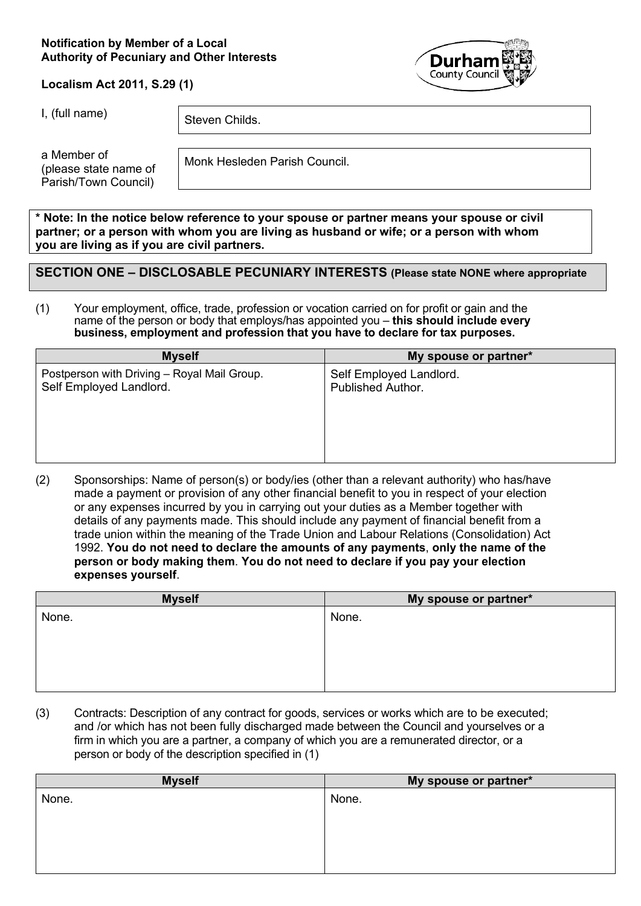#### **Notification by Member of a Local Authority of Pecuniary and Other Interests**



#### **Localism Act 2011, S.29 (1)**

I, (full name)  $\left| \right|$  Steven Childs.

a Member of (please state name of Parish/Town Council)

Monk Hesleden Parish Council.

**\* Note: In the notice below reference to your spouse or partner means your spouse or civil partner; or a person with whom you are living as husband or wife; or a person with whom you are living as if you are civil partners.**

## **SECTION ONE – DISCLOSABLE PECUNIARY INTERESTS (Please state NONE where appropriate**

(1) Your employment, office, trade, profession or vocation carried on for profit or gain and the name of the person or body that employs/has appointed you – **this should include every business, employment and profession that you have to declare for tax purposes.**

| <b>Myself</b>                               | My spouse or partner*    |
|---------------------------------------------|--------------------------|
| Postperson with Driving - Royal Mail Group. | Self Employed Landlord.  |
| Self Employed Landlord.                     | <b>Published Author.</b> |

(2) Sponsorships: Name of person(s) or body/ies (other than a relevant authority) who has/have made a payment or provision of any other financial benefit to you in respect of your election or any expenses incurred by you in carrying out your duties as a Member together with details of any payments made. This should include any payment of financial benefit from a trade union within the meaning of the Trade Union and Labour Relations (Consolidation) Act 1992. **You do not need to declare the amounts of any payments**, **only the name of the person or body making them**. **You do not need to declare if you pay your election expenses yourself**.

| <b>Myself</b> | My spouse or partner* |
|---------------|-----------------------|
| None.         | None.                 |
|               |                       |
|               |                       |
|               |                       |
|               |                       |
|               |                       |

(3) Contracts: Description of any contract for goods, services or works which are to be executed; and /or which has not been fully discharged made between the Council and yourselves or a firm in which you are a partner, a company of which you are a remunerated director, or a person or body of the description specified in (1)

| <b>Myself</b> | My spouse or partner* |
|---------------|-----------------------|
| None.         | None.                 |
|               |                       |
|               |                       |
|               |                       |
|               |                       |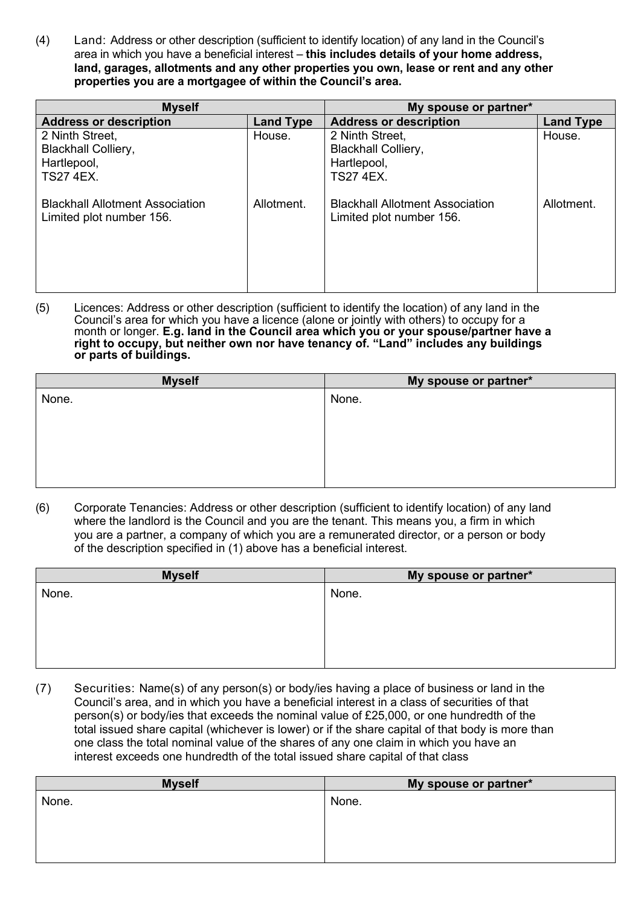(4) Land: Address or other description (sufficient to identify location) of any land in the Council's area in which you have a beneficial interest – **this includes details of your home address, land, garages, allotments and any other properties you own, lease or rent and any other properties you are a mortgagee of within the Council's area.**

| <b>Myself</b>                                                                    |                  | My spouse or partner*                                                            |                  |
|----------------------------------------------------------------------------------|------------------|----------------------------------------------------------------------------------|------------------|
| <b>Address or description</b>                                                    | <b>Land Type</b> | <b>Address or description</b>                                                    | <b>Land Type</b> |
| 2 Ninth Street,<br><b>Blackhall Colliery,</b><br>Hartlepool,<br><b>TS27 4EX.</b> | House.           | 2 Ninth Street,<br><b>Blackhall Colliery,</b><br>Hartlepool,<br><b>TS27 4EX.</b> | House.           |
| <b>Blackhall Allotment Association</b><br>Limited plot number 156.               | Allotment.       | <b>Blackhall Allotment Association</b><br>Limited plot number 156.               | Allotment.       |

(5) Licences: Address or other description (sufficient to identify the location) of any land in the Council's area for which you have a licence (alone or jointly with others) to occupy for a month or longer. **E.g. land in the Council area which you or your spouse/partner have a right to occupy, but neither own nor have tenancy of. "Land" includes any buildings or parts of buildings.**

| My spouse or partner* |
|-----------------------|
| None.                 |
|                       |
|                       |
|                       |
|                       |
|                       |
|                       |

(6) Corporate Tenancies: Address or other description (sufficient to identify location) of any land where the landlord is the Council and you are the tenant. This means you, a firm in which you are a partner, a company of which you are a remunerated director, or a person or body of the description specified in (1) above has a beneficial interest.

| <b>Myself</b> | My spouse or partner* |
|---------------|-----------------------|
| None.         | None.                 |
|               |                       |
|               |                       |
|               |                       |
|               |                       |
|               |                       |

(7) Securities: Name(s) of any person(s) or body/ies having a place of business or land in the Council's area, and in which you have a beneficial interest in a class of securities of that person(s) or body/ies that exceeds the nominal value of £25,000, or one hundredth of the total issued share capital (whichever is lower) or if the share capital of that body is more than one class the total nominal value of the shares of any one claim in which you have an interest exceeds one hundredth of the total issued share capital of that class

| <b>Myself</b> | My spouse or partner* |
|---------------|-----------------------|
| None.         | None.                 |
|               |                       |
|               |                       |
|               |                       |
|               |                       |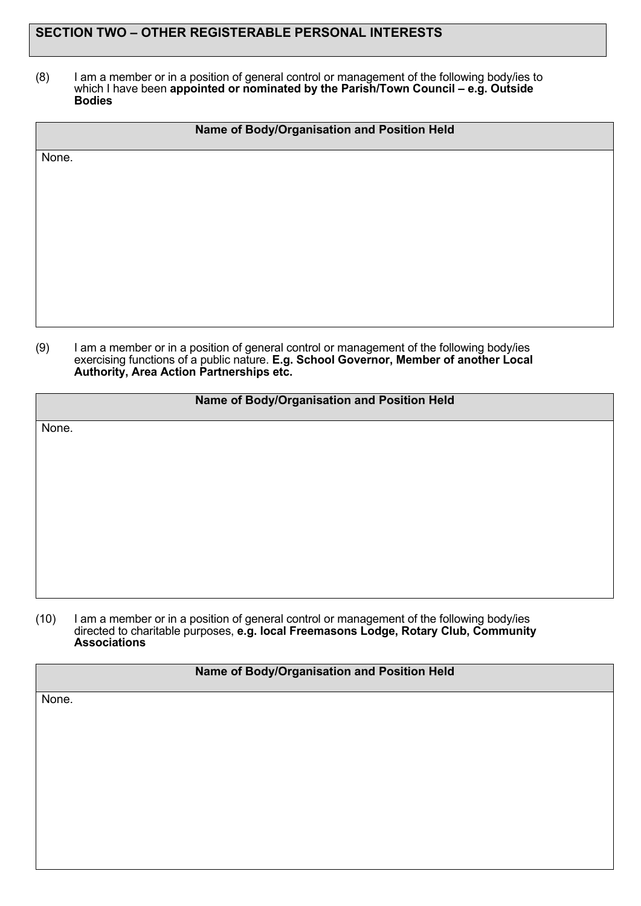# **SECTION TWO – OTHER REGISTERABLE PERSONAL INTERESTS**

(8) I am a member or in a position of general control or management of the following body/ies to which I have been **appointed or nominated by the Parish/Town Council – e.g. Outside Bodies**

|       | Name of Body/Organisation and Position Held |
|-------|---------------------------------------------|
| None. |                                             |
|       |                                             |
|       |                                             |
|       |                                             |
|       |                                             |
|       |                                             |
|       |                                             |

(9) I am a member or in a position of general control or management of the following body/ies exercising functions of a public nature. **E.g. School Governor, Member of another Local Authority, Area Action Partnerships etc.**

#### **Name of Body/Organisation and Position Held**

None.

(10) I am a member or in a position of general control or management of the following body/ies directed to charitable purposes, **e.g. local Freemasons Lodge, Rotary Club, Community Associations**

#### **Name of Body/Organisation and Position Held**

None.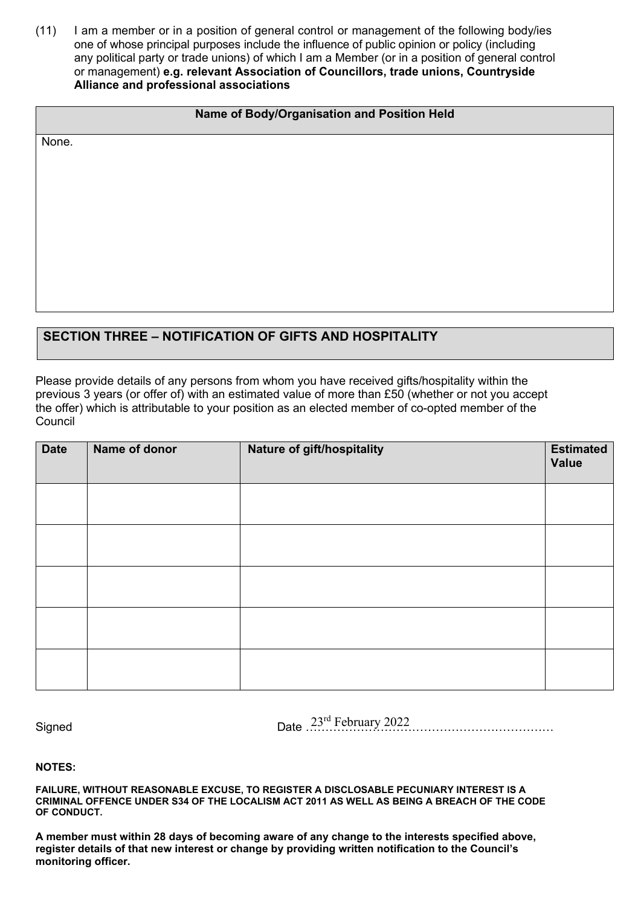(11) I am a member or in a position of general control or management of the following body/ies one of whose principal purposes include the influence of public opinion or policy (including any political party or trade unions) of which I am a Member (or in a position of general control or management) **e.g. relevant Association of Councillors, trade unions, Countryside Alliance and professional associations**

## **Name of Body/Organisation and Position Held**

None.

# **SECTION THREE – NOTIFICATION OF GIFTS AND HOSPITALITY**

Please provide details of any persons from whom you have received gifts/hospitality within the previous 3 years (or offer of) with an estimated value of more than £50 (whether or not you accept the offer) which is attributable to your position as an elected member of co-opted member of the **Council** 

| <b>Date</b> | Name of donor | Nature of gift/hospitality | <b>Estimated</b><br><b>Value</b> |
|-------------|---------------|----------------------------|----------------------------------|
|             |               |                            |                                  |
|             |               |                            |                                  |
|             |               |                            |                                  |
|             |               |                            |                                  |
|             |               |                            |                                  |

Signed **Example 23** Date 23<sup>rd</sup> February 2022

**NOTES:** 

**FAILURE, WITHOUT REASONABLE EXCUSE, TO REGISTER A DISCLOSABLE PECUNIARY INTEREST IS A CRIMINAL OFFENCE UNDER S34 OF THE LOCALISM ACT 2011 AS WELL AS BEING A BREACH OF THE CODE OF CONDUCT.** 

**A member must within 28 days of becoming aware of any change to the interests specified above, register details of that new interest or change by providing written notification to the Council's monitoring officer.**